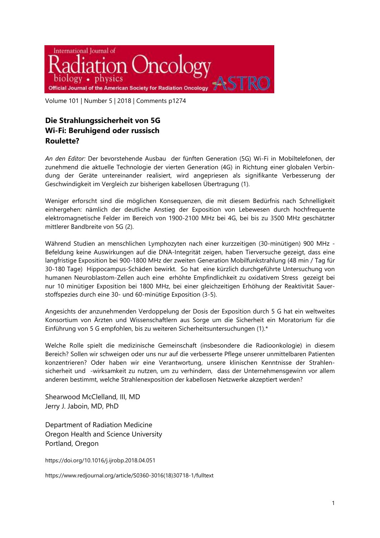

Volume 101 | Number 5 | 2018 | Comments p1274

## **Die Strahlungssicherheit von 5G Wi-Fi: Beruhigend oder russisch Roulette?**

*An den Editor:* Der bevorstehende Ausbau der fünften Generation (5G) Wi-Fi in Mobiltelefonen, der zunehmend die aktuelle Technologie der vierten Generation (4G) in Richtung einer globalen Verbindung der Geräte untereinander realisiert, wird angepriesen als signifikante Verbesserung der Geschwindigkeit im Vergleich zur bisherigen kabellosen Übertragung (1).

Weniger erforscht sind die möglichen Konsequenzen, die mit diesem Bedürfnis nach Schnelligkeit einhergehen: nämlich der deutliche Anstieg der Exposition von Lebewesen durch hochfrequente elektromagnetische Felder im Bereich von 1900-2100 MHz bei 4G, bei bis zu 3500 MHz geschätzter mittlerer Bandbreite von 5G (2).

Während Studien an menschlichen Lymphozyten nach einer kurzzeitigen (30-minütigen) 900 MHz - Befeldung keine Auswirkungen auf die DNA-Integrität zeigen, haben Tierversuche gezeigt, dass eine langfristige Exposition bei 900-1800 MHz der zweiten Generation Mobilfunkstrahlung (48 min / Tag für 30-180 Tage) Hippocampus-Schäden bewirkt. So hat eine kürzlich durchgeführte Untersuchung von humanen Neuroblastom-Zellen auch eine erhöhte Empfindlichkeit zu oxidativem Stress gezeigt bei nur 10 minütiger Exposition bei 1800 MHz, bei einer gleichzeitigen Erhöhung der Reaktivität Sauerstoffspezies durch eine 30- und 60-minütige Exposition (3-5).

Angesichts der anzunehmenden Verdoppelung der Dosis der Exposition durch 5 G hat ein weltweites Konsortium von Ärzten und Wissenschaftlern aus Sorge um die Sicherheit ein Moratorium für die Einführung von 5 G empfohlen, bis zu weiteren Sicherheitsuntersuchungen (1).\*

Welche Rolle spielt die medizinische Gemeinschaft (insbesondere die Radioonkologie) in diesem Bereich? Sollen wir schweigen oder uns nur auf die verbesserte Pflege unserer unmittelbaren Patienten konzentrieren? Oder haben wir eine Verantwortung, unsere klinischen Kenntnisse der Strahlensicherheit und -wirksamkeit zu nutzen, um zu verhindern, dass der Unternehmensgewinn vor allem anderen bestimmt, welche Strahlenexposition der kabellosen Netzwerke akzeptiert werden?

Shearwood McClelland, III, MD Jerry J. Jaboin, MD, PhD

Department of Radiation Medicine Oregon Health and Science University Portland, Oregon

https://doi.org/10.1016/j.ijrobp.2018.04.051

https://www.redjournal.org/article/S0360-3016(18)30718-1/fulltext